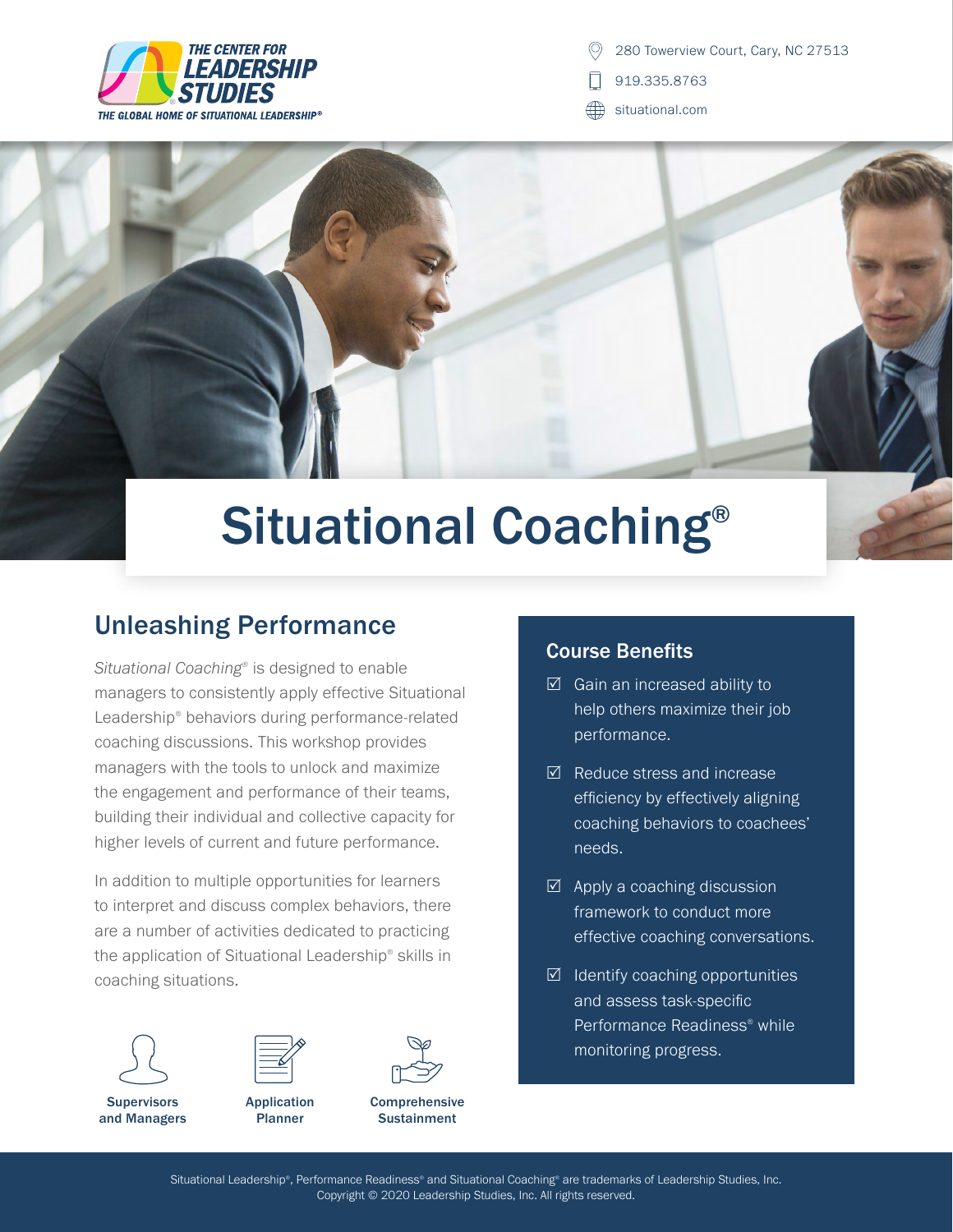

280 Towerview Court, Cary, NC 27513

919.335.8763

ÆÐ situational.com



## Situational Coaching®

## Unleashing Performance

*Situational Coaching®* is designed to enable managers to consistently apply effective Situational Leadership® behaviors during performance-related coaching discussions. This workshop provides managers with the tools to unlock and maximize the engagement and performance of their teams, building their individual and collective capacity for higher levels of current and future performance.

In addition to multiple opportunities for learners to interpret and discuss complex behaviors, there are a number of activities dedicated to practicing the application of Situational Leadership® skills in coaching situations.



**Supervisors** and Managers



**Comprehensive Sustainment** 

## Course Benefits

- $\boxtimes$  Gain an increased ability to help others maximize their job performance.
- $\boxtimes$  Reduce stress and increase efficiency by effectively aligning coaching behaviors to coachees' needs.
- $\boxtimes$  Apply a coaching discussion framework to conduct more effective coaching conversations.
- $\boxtimes$  Identify coaching opportunities and assess task-specific Performance Readiness® while monitoring progress.